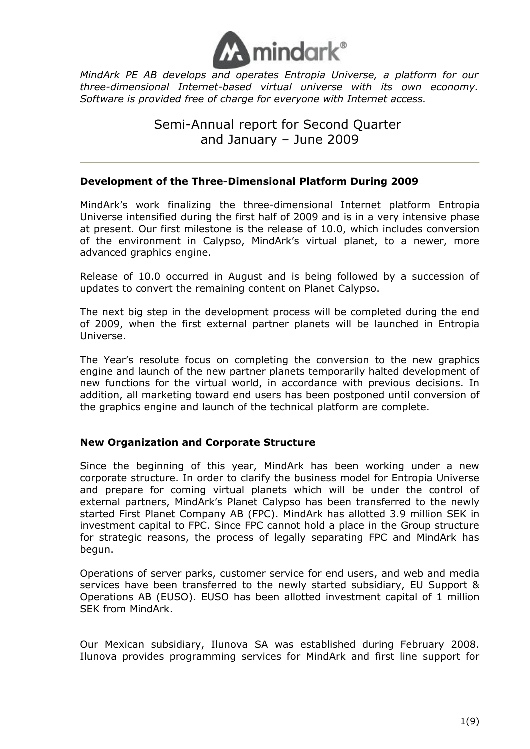

*MindArk PE AB develops and operates Entropia Universe, a platform for our three-dimensional Internet-based virtual universe with its own economy. Software is provided free of charge for everyone with Internet access.* 

# Semi-Annual report for Second Quarter and January – June 2009

## **Development of the Three-Dimensional Platform During 2009**

MindArk's work finalizing the three-dimensional Internet platform Entropia Universe intensified during the first half of 2009 and is in a very intensive phase at present. Our first milestone is the release of 10.0, which includes conversion of the environment in Calypso, MindArk's virtual planet, to a newer, more advanced graphics engine.

Release of 10.0 occurred in August and is being followed by a succession of updates to convert the remaining content on Planet Calypso.

The next big step in the development process will be completed during the end of 2009, when the first external partner planets will be launched in Entropia Universe.

The Year's resolute focus on completing the conversion to the new graphics engine and launch of the new partner planets temporarily halted development of new functions for the virtual world, in accordance with previous decisions. In addition, all marketing toward end users has been postponed until conversion of the graphics engine and launch of the technical platform are complete.

## **New Organization and Corporate Structure**

Since the beginning of this year, MindArk has been working under a new corporate structure. In order to clarify the business model for Entropia Universe and prepare for coming virtual planets which will be under the control of external partners, MindArk's Planet Calypso has been transferred to the newly started First Planet Company AB (FPC). MindArk has allotted 3.9 million SEK in investment capital to FPC. Since FPC cannot hold a place in the Group structure for strategic reasons, the process of legally separating FPC and MindArk has begun.

Operations of server parks, customer service for end users, and web and media services have been transferred to the newly started subsidiary, EU Support & Operations AB (EUSO). EUSO has been allotted investment capital of 1 million SEK from MindArk.

Our Mexican subsidiary, Ilunova SA was established during February 2008. Ilunova provides programming services for MindArk and first line support for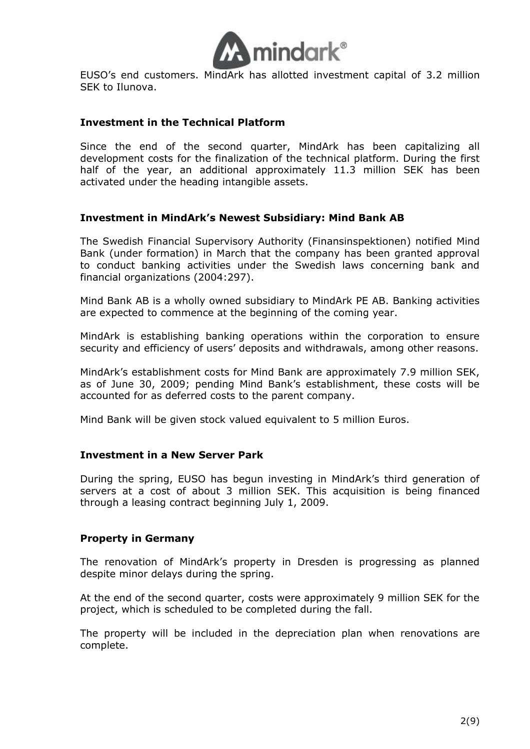

EUSO's end customers. MindArk has allotted investment capital of 3.2 million SEK to Ilunova.

## **Investment in the Technical Platform**

Since the end of the second quarter, MindArk has been capitalizing all development costs for the finalization of the technical platform. During the first half of the year, an additional approximately 11.3 million SEK has been activated under the heading intangible assets.

#### **Investment in MindArk's Newest Subsidiary: Mind Bank AB**

The Swedish Financial Supervisory Authority (Finansinspektionen) notified Mind Bank (under formation) in March that the company has been granted approval to conduct banking activities under the Swedish laws concerning bank and financial organizations (2004:297).

Mind Bank AB is a wholly owned subsidiary to MindArk PE AB. Banking activities are expected to commence at the beginning of the coming year.

MindArk is establishing banking operations within the corporation to ensure security and efficiency of users' deposits and withdrawals, among other reasons.

MindArk's establishment costs for Mind Bank are approximately 7.9 million SEK, as of June 30, 2009; pending Mind Bank's establishment, these costs will be accounted for as deferred costs to the parent company.

Mind Bank will be given stock valued equivalent to 5 million Euros.

#### **Investment in a New Server Park**

During the spring, EUSO has begun investing in MindArk's third generation of servers at a cost of about 3 million SEK. This acquisition is being financed through a leasing contract beginning July 1, 2009.

#### **Property in Germany**

The renovation of MindArk's property in Dresden is progressing as planned despite minor delays during the spring.

At the end of the second quarter, costs were approximately 9 million SEK for the project, which is scheduled to be completed during the fall.

The property will be included in the depreciation plan when renovations are complete.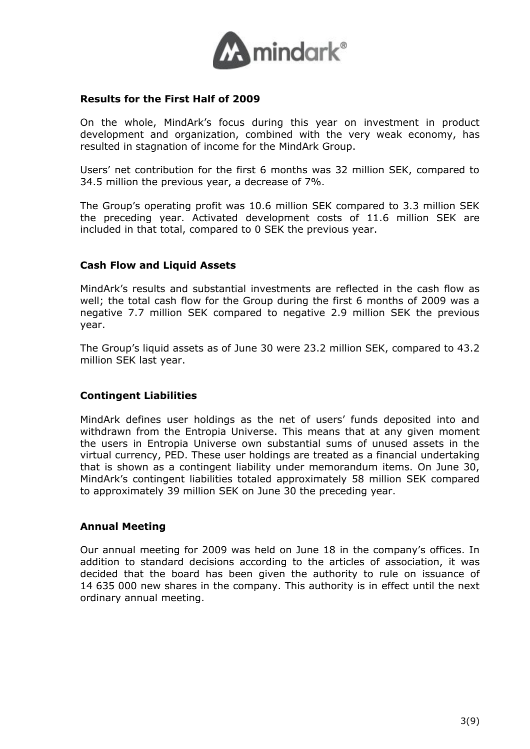

## **Results for the First Half of 2009**

On the whole, MindArk's focus during this year on investment in product development and organization, combined with the very weak economy, has resulted in stagnation of income for the MindArk Group.

Users' net contribution for the first 6 months was 32 million SEK, compared to 34.5 million the previous year, a decrease of 7%.

The Group's operating profit was 10.6 million SEK compared to 3.3 million SEK the preceding year. Activated development costs of 11.6 million SEK are included in that total, compared to 0 SEK the previous year.

#### **Cash Flow and Liquid Assets**

MindArk's results and substantial investments are reflected in the cash flow as well; the total cash flow for the Group during the first 6 months of 2009 was a negative 7.7 million SEK compared to negative 2.9 million SEK the previous year.

The Group's liquid assets as of June 30 were 23.2 million SEK, compared to 43.2 million SEK last year.

#### **Contingent Liabilities**

MindArk defines user holdings as the net of users' funds deposited into and withdrawn from the Entropia Universe. This means that at any given moment the users in Entropia Universe own substantial sums of unused assets in the virtual currency, PED. These user holdings are treated as a financial undertaking that is shown as a contingent liability under memorandum items. On June 30, MindArk's contingent liabilities totaled approximately 58 million SEK compared to approximately 39 million SEK on June 30 the preceding year.

#### **Annual Meeting**

Our annual meeting for 2009 was held on June 18 in the company's offices. In addition to standard decisions according to the articles of association, it was decided that the board has been given the authority to rule on issuance of 14 635 000 new shares in the company. This authority is in effect until the next ordinary annual meeting.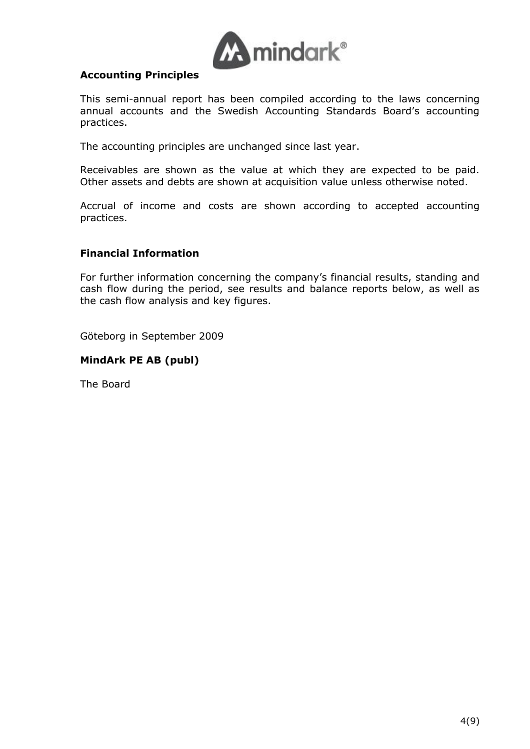

## **Accounting Principles**

This semi-annual report has been compiled according to the laws concerning annual accounts and the Swedish Accounting Standards Board's accounting practices.

The accounting principles are unchanged since last year.

Receivables are shown as the value at which they are expected to be paid. Other assets and debts are shown at acquisition value unless otherwise noted.

Accrual of income and costs are shown according to accepted accounting practices.

## **Financial Information**

For further information concerning the company's financial results, standing and cash flow during the period, see results and balance reports below, as well as the cash flow analysis and key figures.

Göteborg in September 2009

#### **MindArk PE AB (publ)**

The Board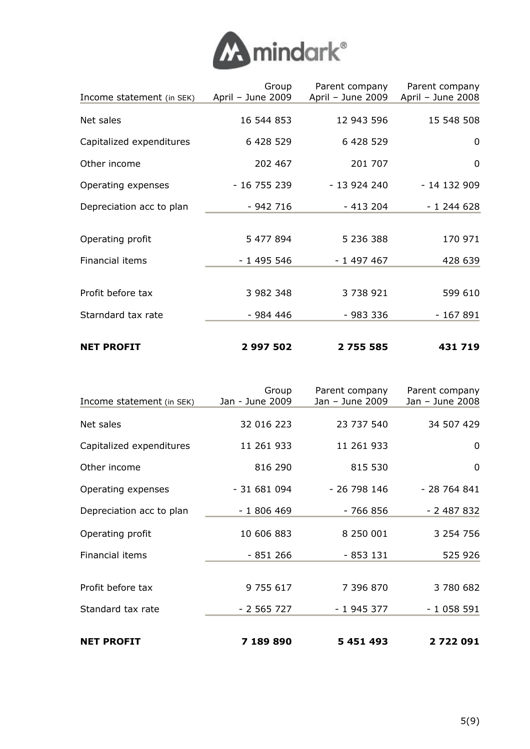

| <b>NET PROFIT</b>         | 2 997 502                  | 2 755 585                           | 431 719                             |
|---------------------------|----------------------------|-------------------------------------|-------------------------------------|
| Starndard tax rate        | - 984 446                  | $-983336$                           | $-167891$                           |
| Profit before tax         | 3 982 348                  | 3 738 921                           | 599 610                             |
| Financial items           | $-1495546$                 | $-1497467$                          | 428 639                             |
| Operating profit          | 5 477 894                  | 5 236 388                           | 170 971                             |
| Depreciation acc to plan  | $-942716$                  | $-413204$                           | $-1244628$                          |
| Operating expenses        | $-16755239$                | $-13924240$                         | - 14 132 909                        |
| Other income              | 202 467                    | 201 707                             | $\mathbf 0$                         |
| Capitalized expenditures  | 6 428 529                  | 6 428 529                           | 0                                   |
| Net sales                 | 16 544 853                 | 12 943 596                          | 15 548 508                          |
| Income statement (in SEK) | Group<br>April - June 2009 | Parent company<br>April - June 2009 | Parent company<br>April - June 2008 |
|                           |                            |                                     |                                     |

| Income statement (in SEK) | Group<br>Jan - June 2009 | Parent company<br>Jan - June 2009 | Parent company<br>Jan - June 2008 |  |
|---------------------------|--------------------------|-----------------------------------|-----------------------------------|--|
|                           |                          |                                   |                                   |  |
| Net sales                 | 32 016 223               | 23 737 540                        | 34 507 429                        |  |
| Capitalized expenditures  | 11 261 933               | 11 261 933                        | 0                                 |  |
| Other income              | 816 290                  | 815 530                           | $\mathbf 0$                       |  |
| Operating expenses        | $-31681094$              | $-26798146$                       | $-28764841$                       |  |
| Depreciation acc to plan  | $-1806469$               | $-766856$                         | $-2487832$                        |  |
| Operating profit          | 10 606 883               | 8 250 001                         | 3 2 5 4 7 5 6                     |  |
| Financial items           | $-851266$                | $-853131$                         | 525 926                           |  |
| Profit before tax         | 9 755 617                | 7 396 870                         | 3 780 682                         |  |
|                           |                          |                                   |                                   |  |
| Standard tax rate         | $-2565727$               | $-1945377$                        | $-1058591$                        |  |
| <b>NET PROFIT</b>         | 7 189 890                | 5 451 493                         | 2722091                           |  |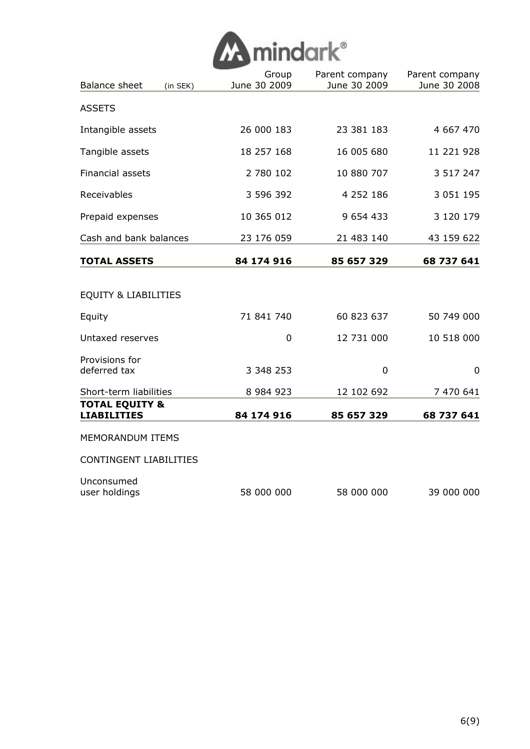| <b>M</b> mindark® |  |
|-------------------|--|
|                   |  |

| <b>Balance sheet</b><br>(in SEK)                | Group<br>June 30 2009 | Parent company<br>June 30 2009 | Parent company<br>June 30 2008 |
|-------------------------------------------------|-----------------------|--------------------------------|--------------------------------|
| <b>ASSETS</b>                                   |                       |                                |                                |
| Intangible assets                               | 26 000 183            | 23 381 183                     | 4 667 470                      |
| Tangible assets                                 | 18 257 168            | 16 005 680                     | 11 221 928                     |
| <b>Financial assets</b>                         | 2 780 102             | 10 880 707                     | 3 5 1 7 2 4 7                  |
| Receivables                                     | 3 596 392             | 4 252 186                      | 3 0 5 1 1 9 5                  |
| Prepaid expenses                                | 10 365 012            | 9 654 433                      | 3 120 179                      |
| Cash and bank balances                          | 23 176 059            | 21 483 140                     | 43 159 622                     |
| <b>TOTAL ASSETS</b>                             | 84 174 916            | 85 657 329                     | 68 737 641                     |
| <b>EQUITY &amp; LIABILITIES</b>                 |                       |                                |                                |
| Equity                                          | 71 841 740            | 60 823 637                     | 50 749 000                     |
| Untaxed reserves                                | $\mathbf 0$           | 12 731 000                     | 10 518 000                     |
| Provisions for<br>deferred tax                  | 3 348 253             | 0                              | 0                              |
| Short-term liabilities                          | 8 9 8 4 9 2 3         | 12 102 692                     | 7 470 641                      |
| <b>TOTAL EQUITY &amp;</b><br><b>LIABILITIES</b> | 84 174 916            | 85 657 329                     | 68 737 641                     |
| MEMORANDUM ITEMS                                |                       |                                |                                |
| <b>CONTINGENT LIABILITIES</b>                   |                       |                                |                                |
| Unconsumed<br>user holdings                     | 58 000 000            | 58 000 000                     | 39 000 000                     |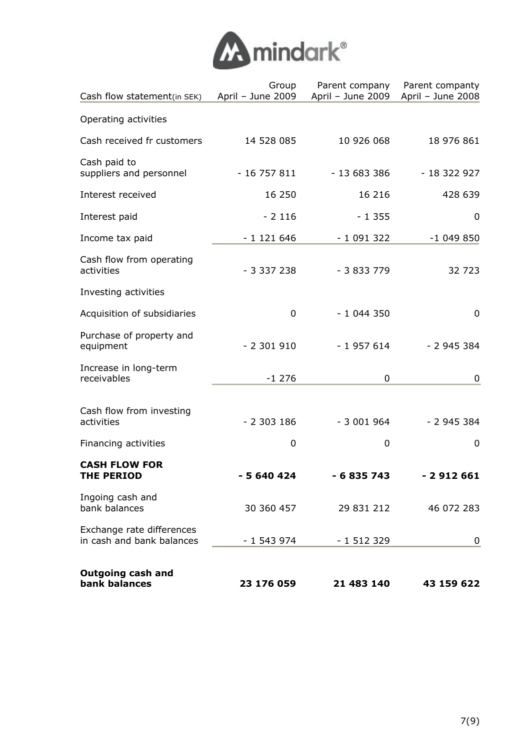

| Cash flow statement(in SEK)                            | Group<br>April - June 2009 | Parent company<br>April - June 2009 | Parent companty<br>April - June 2008 |  |
|--------------------------------------------------------|----------------------------|-------------------------------------|--------------------------------------|--|
| Operating activities                                   |                            |                                     |                                      |  |
| Cash received fr customers                             | 14 528 085                 | 10 926 068                          | 18 976 861                           |  |
| Cash paid to<br>suppliers and personnel                | $-16757811$                | - 13 683 386                        | $-18322927$                          |  |
| Interest received                                      | 16 250                     | 16 216                              | 428 639                              |  |
| Interest paid                                          | $-2116$                    | $-1355$                             | 0                                    |  |
| Income tax paid                                        | $-1121646$                 | $-1091322$                          | $-1049850$                           |  |
| Cash flow from operating<br>activities                 | $-3337238$                 | $-3833779$                          | 32 723                               |  |
| Investing activities                                   |                            |                                     |                                      |  |
| Acquisition of subsidiaries                            | $\mathbf 0$                | $-1044350$                          | $\mathbf 0$                          |  |
| Purchase of property and<br>equipment                  | $-2301910$                 | $-1957614$                          | $-2945384$                           |  |
| Increase in long-term<br>receivables                   | $-1276$                    | 0                                   | 0                                    |  |
| Cash flow from investing<br>activities                 | $-2303186$                 | $-3001964$                          | $-2945384$                           |  |
| Financing activities                                   | 0                          | 0                                   | 0                                    |  |
| <b>CASH FLOW FOR</b><br><b>THE PERIOD</b>              | $-5640424$                 | - 6 835 743                         | $-2912661$                           |  |
| Ingoing cash and<br>bank balances                      | 30 360 457                 | 29 831 212                          | 46 072 283                           |  |
| Exchange rate differences<br>in cash and bank balances | $-1543974$                 | $-1512329$                          | 0                                    |  |
| <b>Outgoing cash and</b><br>bank balances              | 23 176 059                 | 21 483 140                          | 43 159 622                           |  |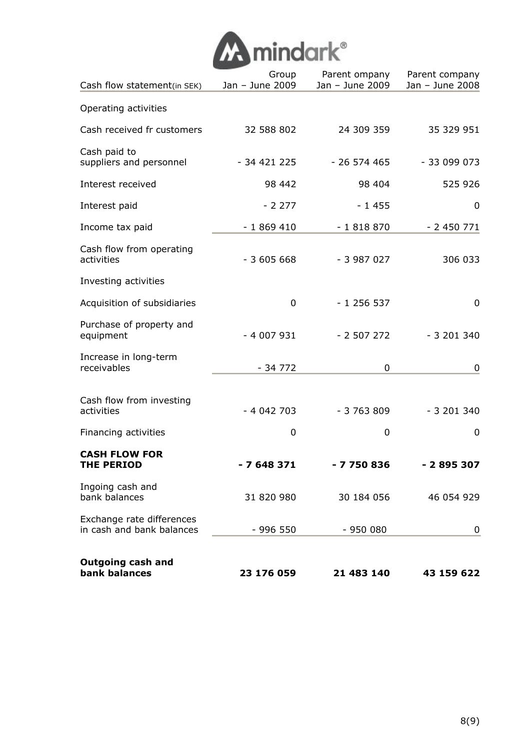

| Cash flow statement(in SEK)                            | Group<br>Jan - June 2009 | Parent ompany<br>Jan - June 2009 | Parent company<br>Jan - June 2008 |  |
|--------------------------------------------------------|--------------------------|----------------------------------|-----------------------------------|--|
| Operating activities                                   |                          |                                  |                                   |  |
| Cash received fr customers                             | 32 588 802               | 24 309 359                       | 35 329 951                        |  |
| Cash paid to<br>suppliers and personnel                | - 34 421 225             | $-26574465$                      | $-33099073$                       |  |
| Interest received                                      | 98 442                   | 98 404                           | 525 926                           |  |
| Interest paid                                          | $-2277$                  | $-1455$                          | 0                                 |  |
| Income tax paid                                        | $-1869410$               | $-1818870$                       | $-2450771$                        |  |
| Cash flow from operating<br>activities                 | $-3605668$               | $-3987027$                       | 306 033                           |  |
| Investing activities                                   |                          |                                  |                                   |  |
| Acquisition of subsidiaries                            | 0                        | $-1256537$                       | $\mathbf 0$                       |  |
| Purchase of property and<br>equipment                  | $-4007931$               | $-2507272$                       | $-3201340$                        |  |
| Increase in long-term<br>receivables                   | $-34772$                 | 0                                | 0                                 |  |
| Cash flow from investing<br>activities                 | $-4042703$               | $-3763809$                       | $-3201340$                        |  |
| Financing activities                                   | 0                        | 0                                | 0                                 |  |
| <b>CASH FLOW FOR</b><br><b>THE PERIOD</b>              | - 7 648 371              | - 7 750 836                      | - 2 895 307                       |  |
| Ingoing cash and<br>bank balances                      | 31 820 980               | 30 184 056                       | 46 054 929                        |  |
| Exchange rate differences<br>in cash and bank balances | $-996550$                | $-950000$                        | 0                                 |  |
| <b>Outgoing cash and</b><br>bank balances              | 23 176 059               | 21 483 140                       | 43 159 622                        |  |